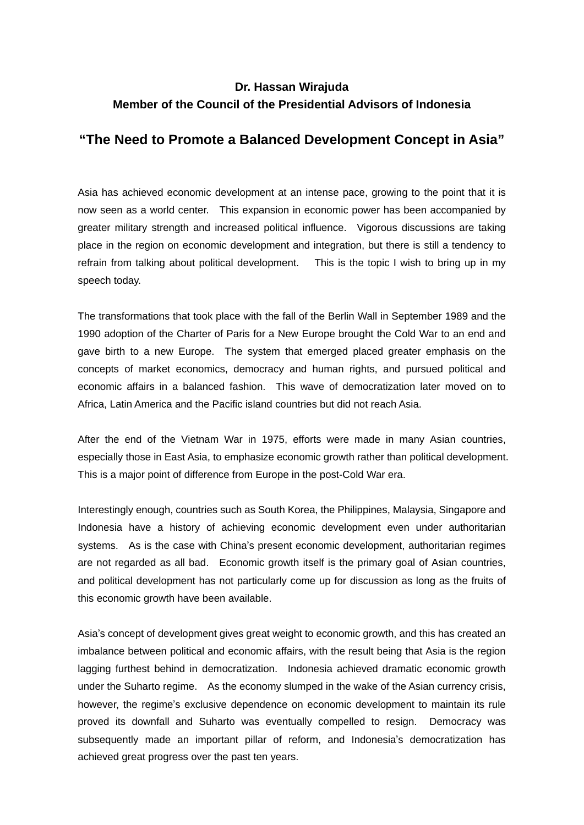## **Dr. Hassan Wirajuda Member of the Council of the Presidential Advisors of Indonesia**

## **"The Need to Promote a Balanced Development Concept in Asia"**

Asia has achieved economic development at an intense pace, growing to the point that it is now seen as a world center. This expansion in economic power has been accompanied by greater military strength and increased political influence. Vigorous discussions are taking place in the region on economic development and integration, but there is still a tendency to refrain from talking about political development. This is the topic I wish to bring up in my speech today.

The transformations that took place with the fall of the Berlin Wall in September 1989 and the 1990 adoption of the Charter of Paris for a New Europe brought the Cold War to an end and gave birth to a new Europe. The system that emerged placed greater emphasis on the concepts of market economics, democracy and human rights, and pursued political and economic affairs in a balanced fashion. This wave of democratization later moved on to Africa, Latin America and the Pacific island countries but did not reach Asia.

After the end of the Vietnam War in 1975, efforts were made in many Asian countries, especially those in East Asia, to emphasize economic growth rather than political development. This is a major point of difference from Europe in the post-Cold War era.

Interestingly enough, countries such as South Korea, the Philippines, Malaysia, Singapore and Indonesia have a history of achieving economic development even under authoritarian systems. As is the case with China's present economic development, authoritarian regimes are not regarded as all bad. Economic growth itself is the primary goal of Asian countries, and political development has not particularly come up for discussion as long as the fruits of this economic growth have been available.

Asia's concept of development gives great weight to economic growth, and this has created an imbalance between political and economic affairs, with the result being that Asia is the region lagging furthest behind in democratization. Indonesia achieved dramatic economic growth under the Suharto regime. As the economy slumped in the wake of the Asian currency crisis, however, the regime's exclusive dependence on economic development to maintain its rule proved its downfall and Suharto was eventually compelled to resign. Democracy was subsequently made an important pillar of reform, and Indonesia's democratization has achieved great progress over the past ten years.